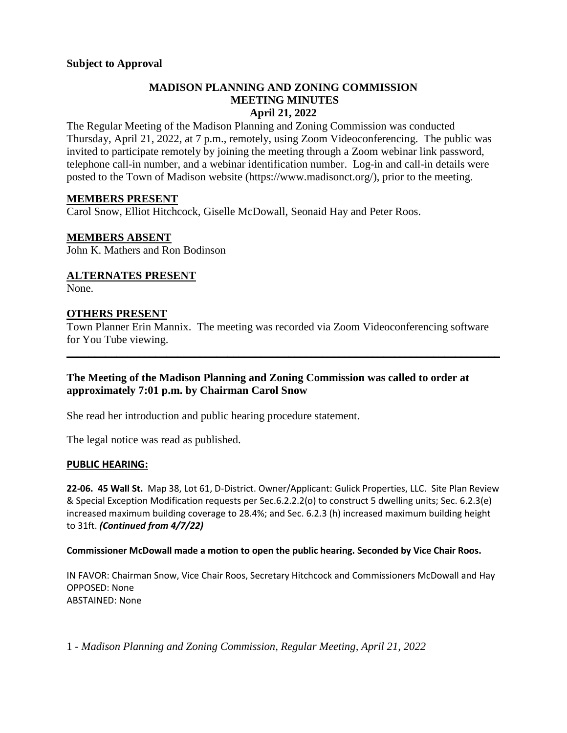# **MADISON PLANNING AND ZONING COMMISSION MEETING MINUTES April 21, 2022**

The Regular Meeting of the Madison Planning and Zoning Commission was conducted Thursday, April 21, 2022, at 7 p.m., remotely, using Zoom Videoconferencing. The public was invited to participate remotely by joining the meeting through a Zoom webinar link password, telephone call-in number, and a webinar identification number. Log-in and call-in details were posted to the Town of Madison website [\(https://www.madisonct.org/\)](https://www.madisonct.org/), prior to the meeting.

# **MEMBERS PRESENT**

Carol Snow, Elliot Hitchcock, Giselle McDowall, Seonaid Hay and Peter Roos.

# **MEMBERS ABSENT**

John K. Mathers and Ron Bodinson

# **ALTERNATES PRESENT**

None.

# **OTHERS PRESENT**

Town Planner Erin Mannix. The meeting was recorded via Zoom Videoconferencing software for You Tube viewing.

**\_\_\_\_\_\_\_\_\_\_\_\_\_\_\_\_\_\_\_\_\_\_\_\_\_\_\_\_\_\_\_\_\_\_\_\_\_\_\_\_\_\_\_\_\_\_\_\_\_\_\_\_\_\_\_\_\_\_\_\_\_\_\_\_\_\_\_\_\_\_\_\_\_\_\_\_\_\_**

# **The Meeting of the Madison Planning and Zoning Commission was called to order at approximately 7:01 p.m. by Chairman Carol Snow**

She read her introduction and public hearing procedure statement.

The legal notice was read as published.

### **PUBLIC HEARING:**

**22-06. 45 Wall St.** Map 38, Lot 61, D-District. Owner/Applicant: Gulick Properties, LLC. Site Plan Review & Special Exception Modification requests per Sec.6.2.2.2(o) to construct 5 dwelling units; Sec. 6.2.3(e) increased maximum building coverage to 28.4%; and Sec. 6.2.3 (h) increased maximum building height to 31ft. *(Continued from 4/7/22)*

### **Commissioner McDowall made a motion to open the public hearing. Seconded by Vice Chair Roos.**

IN FAVOR: Chairman Snow, Vice Chair Roos, Secretary Hitchcock and Commissioners McDowall and Hay OPPOSED: None ABSTAINED: None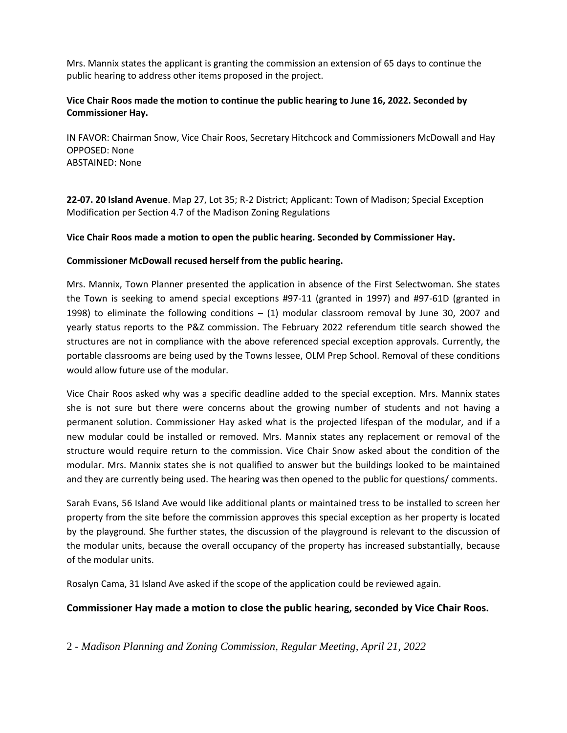Mrs. Mannix states the applicant is granting the commission an extension of 65 days to continue the public hearing to address other items proposed in the project.

### **Vice Chair Roos made the motion to continue the public hearing to June 16, 2022. Seconded by Commissioner Hay.**

IN FAVOR: Chairman Snow, Vice Chair Roos, Secretary Hitchcock and Commissioners McDowall and Hay OPPOSED: None ABSTAINED: None

**22-07. 20 Island Avenue**. Map 27, Lot 35; R-2 District; Applicant: Town of Madison; Special Exception Modification per Section 4.7 of the Madison Zoning Regulations

#### **Vice Chair Roos made a motion to open the public hearing. Seconded by Commissioner Hay.**

#### **Commissioner McDowall recused herself from the public hearing.**

Mrs. Mannix, Town Planner presented the application in absence of the First Selectwoman. She states the Town is seeking to amend special exceptions #97-11 (granted in 1997) and #97-61D (granted in 1998) to eliminate the following conditions – (1) modular classroom removal by June 30, 2007 and yearly status reports to the P&Z commission. The February 2022 referendum title search showed the structures are not in compliance with the above referenced special exception approvals. Currently, the portable classrooms are being used by the Towns lessee, OLM Prep School. Removal of these conditions would allow future use of the modular.

Vice Chair Roos asked why was a specific deadline added to the special exception. Mrs. Mannix states she is not sure but there were concerns about the growing number of students and not having a permanent solution. Commissioner Hay asked what is the projected lifespan of the modular, and if a new modular could be installed or removed. Mrs. Mannix states any replacement or removal of the structure would require return to the commission. Vice Chair Snow asked about the condition of the modular. Mrs. Mannix states she is not qualified to answer but the buildings looked to be maintained and they are currently being used. The hearing was then opened to the public for questions/ comments.

Sarah Evans, 56 Island Ave would like additional plants or maintained tress to be installed to screen her property from the site before the commission approves this special exception as her property is located by the playground. She further states, the discussion of the playground is relevant to the discussion of the modular units, because the overall occupancy of the property has increased substantially, because of the modular units.

Rosalyn Cama, 31 Island Ave asked if the scope of the application could be reviewed again.

### **Commissioner Hay made a motion to close the public hearing, seconded by Vice Chair Roos.**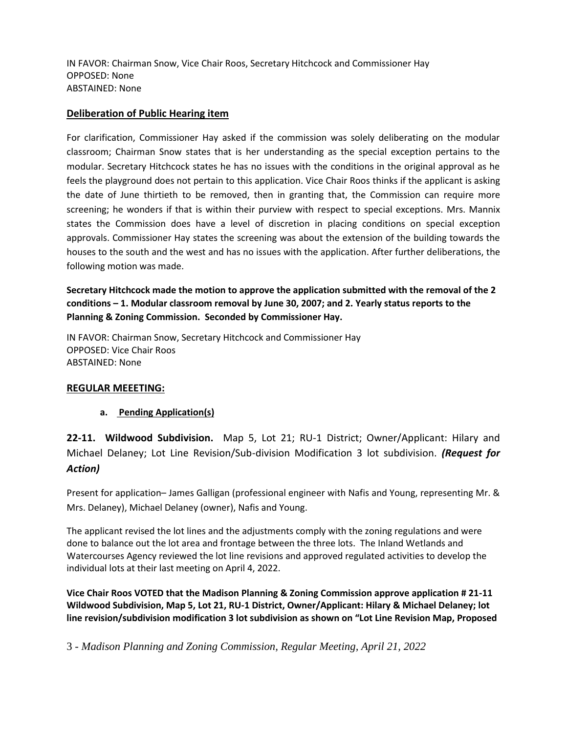IN FAVOR: Chairman Snow, Vice Chair Roos, Secretary Hitchcock and Commissioner Hay OPPOSED: None ABSTAINED: None

### **Deliberation of Public Hearing item**

For clarification, Commissioner Hay asked if the commission was solely deliberating on the modular classroom; Chairman Snow states that is her understanding as the special exception pertains to the modular. Secretary Hitchcock states he has no issues with the conditions in the original approval as he feels the playground does not pertain to this application. Vice Chair Roos thinks if the applicant is asking the date of June thirtieth to be removed, then in granting that, the Commission can require more screening; he wonders if that is within their purview with respect to special exceptions. Mrs. Mannix states the Commission does have a level of discretion in placing conditions on special exception approvals. Commissioner Hay states the screening was about the extension of the building towards the houses to the south and the west and has no issues with the application. After further deliberations, the following motion was made.

**Secretary Hitchcock made the motion to approve the application submitted with the removal of the 2 conditions – 1. Modular classroom removal by June 30, 2007; and 2. Yearly status reports to the Planning & Zoning Commission. Seconded by Commissioner Hay.**

IN FAVOR: Chairman Snow, Secretary Hitchcock and Commissioner Hay OPPOSED: Vice Chair Roos ABSTAINED: None

### **REGULAR MEEETING:**

# **a. Pending Application(s)**

**22-11. Wildwood Subdivision.** Map 5, Lot 21; RU-1 District; Owner/Applicant: Hilary and Michael Delaney; Lot Line Revision/Sub-division Modification 3 lot subdivision. *(Request for Action)*

Present for application– James Galligan (professional engineer with Nafis and Young, representing Mr. & Mrs. Delaney), Michael Delaney (owner), Nafis and Young.

The applicant revised the lot lines and the adjustments comply with the zoning regulations and were done to balance out the lot area and frontage between the three lots. The Inland Wetlands and Watercourses Agency reviewed the lot line revisions and approved regulated activities to develop the individual lots at their last meeting on April 4, 2022.

**Vice Chair Roos VOTED that the Madison Planning & Zoning Commission approve application # 21-11 Wildwood Subdivision, Map 5, Lot 21, RU-1 District, Owner/Applicant: Hilary & Michael Delaney; lot line revision/subdivision modification 3 lot subdivision as shown on "Lot Line Revision Map, Proposed**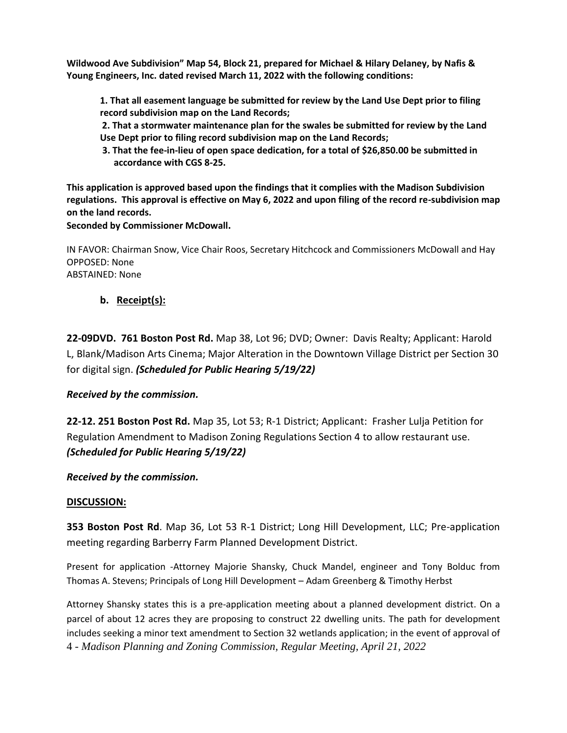**Wildwood Ave Subdivision" Map 54, Block 21, prepared for Michael & Hilary Delaney, by Nafis & Young Engineers, Inc. dated revised March 11, 2022 with the following conditions:**

- **1. That all easement language be submitted for review by the Land Use Dept prior to filing record subdivision map on the Land Records;**
- **2. That a stormwater maintenance plan for the swales be submitted for review by the Land Use Dept prior to filing record subdivision map on the Land Records;**
- **3. That the fee-in-lieu of open space dedication, for a total of \$26,850.00 be submitted in accordance with CGS 8-25.**

**This application is approved based upon the findings that it complies with the Madison Subdivision regulations. This approval is effective on May 6, 2022 and upon filing of the record re-subdivision map on the land records.** 

**Seconded by Commissioner McDowall.**

IN FAVOR: Chairman Snow, Vice Chair Roos, Secretary Hitchcock and Commissioners McDowall and Hay OPPOSED: None ABSTAINED: None

# **b. Receipt(s):**

**22-09DVD. 761 Boston Post Rd.** Map 38, Lot 96; DVD; Owner: Davis Realty; Applicant: Harold L, Blank/Madison Arts Cinema; Major Alteration in the Downtown Village District per Section 30 for digital sign. *(Scheduled for Public Hearing 5/19/22)*

# *Received by the commission.*

**22-12. 251 Boston Post Rd.** Map 35, Lot 53; R-1 District; Applicant: Frasher Lulja Petition for Regulation Amendment to Madison Zoning Regulations Section 4 to allow restaurant use. *(Scheduled for Public Hearing 5/19/22)*

*Received by the commission.*

# **DISCUSSION:**

**353 Boston Post Rd**. Map 36, Lot 53 R-1 District; Long Hill Development, LLC; Pre-application meeting regarding Barberry Farm Planned Development District.

Present for application -Attorney Majorie Shansky, Chuck Mandel, engineer and Tony Bolduc from Thomas A. Stevens; Principals of Long Hill Development – Adam Greenberg & Timothy Herbst

4 - *Madison Planning and Zoning Commission, Regular Meeting, April 21, 2022* Attorney Shansky states this is a pre-application meeting about a planned development district. On a parcel of about 12 acres they are proposing to construct 22 dwelling units. The path for development includes seeking a minor text amendment to Section 32 wetlands application; in the event of approval of